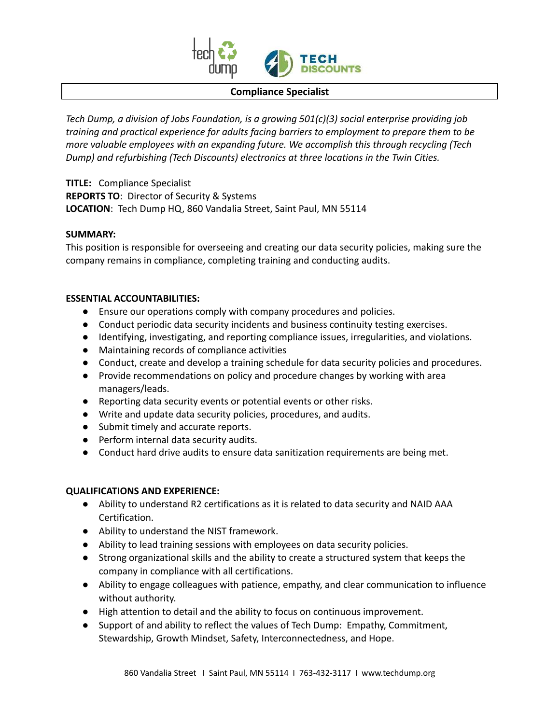

### **Compliance Specialist**

*Tech Dump, a division of Jobs Foundation, is a growing 501(c)(3) social enterprise providing job training and practical experience for adults facing barriers to employment to prepare them to be more valuable employees with an expanding future. We accomplish this through recycling (Tech Dump) and refurbishing (Tech Discounts) electronics at three locations in the Twin Cities.*

**TITLE:** Compliance Specialist **REPORTS TO**: Director of Security & Systems **LOCATION**: Tech Dump HQ, 860 Vandalia Street, Saint Paul, MN 55114

## **SUMMARY:**

This position is responsible for overseeing and creating our data security policies, making sure the company remains in compliance, completing training and conducting audits.

## **ESSENTIAL ACCOUNTABILITIES:**

- Ensure our operations comply with company procedures and policies.
- Conduct periodic data security incidents and business continuity testing exercises.
- Identifying, investigating, and reporting compliance issues, irregularities, and violations.
- Maintaining records of compliance activities
- Conduct, create and develop a training schedule for data security policies and procedures.
- Provide recommendations on policy and procedure changes by working with area managers/leads.
- Reporting data security events or potential events or other risks.
- Write and update data security policies, procedures, and audits.
- Submit timely and accurate reports.
- Perform internal data security audits.
- Conduct hard drive audits to ensure data sanitization requirements are being met.

## **QUALIFICATIONS AND EXPERIENCE:**

- Ability to understand R2 certifications as it is related to data security and NAID AAA Certification.
- Ability to understand the NIST framework.
- Ability to lead training sessions with employees on data security policies.
- Strong organizational skills and the ability to create a structured system that keeps the company in compliance with all certifications.
- Ability to engage colleagues with patience, empathy, and clear communication to influence without authority.
- High attention to detail and the ability to focus on continuous improvement.
- Support of and ability to reflect the values of Tech Dump: Empathy, Commitment, Stewardship, Growth Mindset, Safety, Interconnectedness, and Hope.